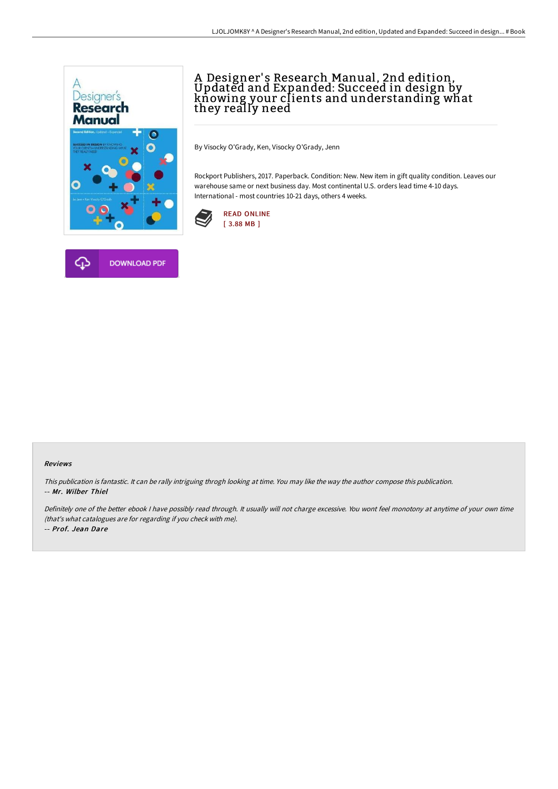

# A Designer's Research Manual, 2nd edition,<br>Updated and Expanded: Succeed in design by knowing your clients and understanding what they really need

By Visocky O'Grady, Ken, Visocky O'Grady, Jenn

Rockport Publishers, 2017. Paperback. Condition: New. New item in gift quality condition. Leaves our warehouse same or next business day. Most continental U.S. orders lead time 4-10 days. International - most countries 10-21 days, others 4 weeks.





### Reviews

This publication is fantastic. It can be rally intriguing throgh looking at time. You may like the way the author compose this publication. -- Mr. Wilber Thiel

Definitely one of the better ebook <sup>I</sup> have possibly read through. It usually will not charge excessive. You wont feel monotony at anytime of your own time (that's what catalogues are for regarding if you check with me). -- Prof. Jean Dare